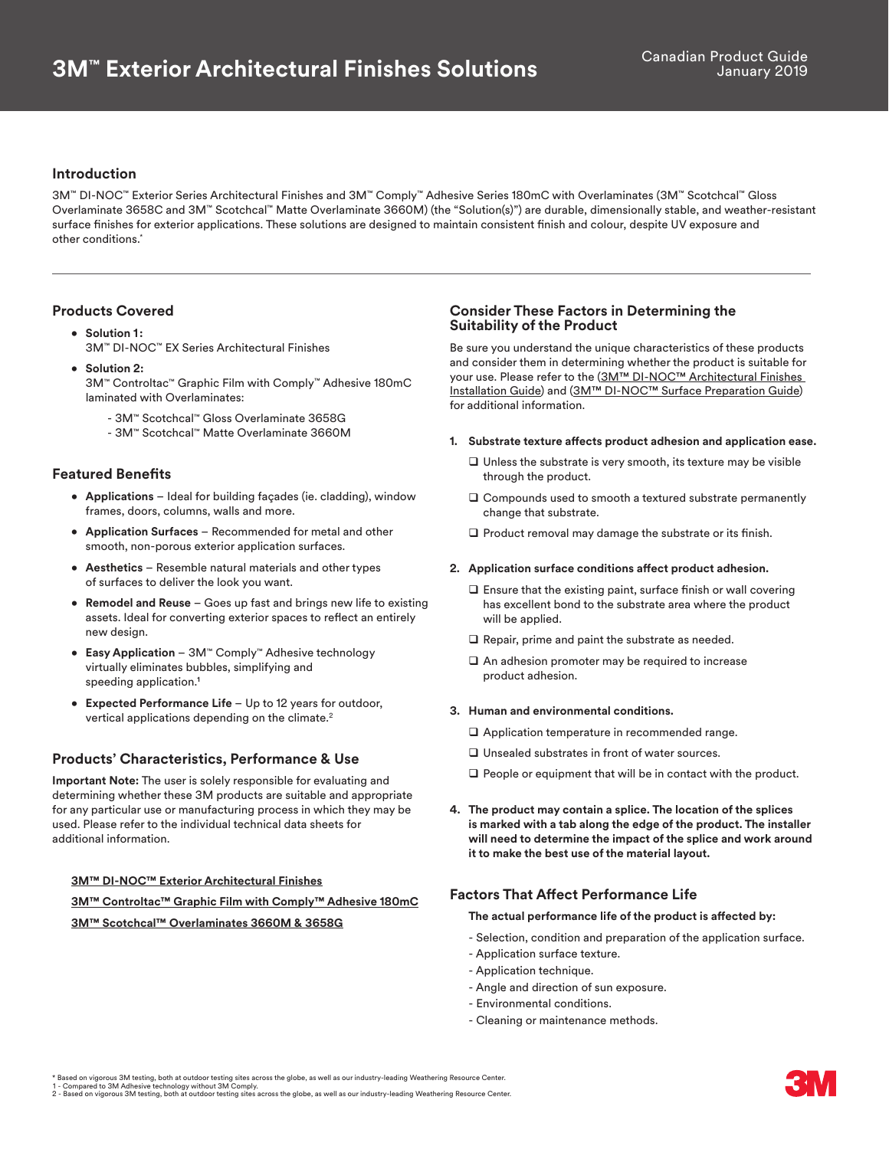# **Introduction**

3M™ DI-NOC™ Exterior Series Architectural Finishes and 3M™ Comply™ Adhesive Series 180mC with Overlaminates (3M™ Scotchcal™ Gloss Overlaminate 3658C and 3M™ Scotchcal™ Matte Overlaminate 3660M) (the "Solution(s)") are durable, dimensionally stable, and weather-resistant surface finishes for exterior applications. These solutions are designed to maintain consistent finish and colour, despite UV exposure and other conditions.\*

#### **Products Covered**

- **Solution 1 :**
	- 3M™ DI-NOC™ EX Series Architectural Finishes
- **Solution 2:**

 3M™ Controltac™ Graphic Film with Comply™ Adhesive 180mC laminated with Overlaminates:

- 3M™ Scotchcal™ Gloss Overlaminate 3658G
- 3M™ Scotchcal™ Matte Overlaminate 3660M

# **Featured Benefits**

- **Applications** Ideal for building façades (ie. cladding), window frames, doors, columns, walls and more.
- **Application Surfaces**  Recommended for metal and other smooth, non-porous exterior application surfaces.
- **Aesthetics**  Resemble natural materials and other types of surfaces to deliver the look you want.
- **Remodel and Reuse**  Goes up fast and brings new life to existing assets. Ideal for converting exterior spaces to reflect an entirely new design.
- **Easy Application**  3M™ Comply™ Adhesive technology virtually eliminates bubbles, simplifying and speeding application.**<sup>1</sup>**
- **Expected Performance Life**  Up to 12 years for outdoor, vertical applications depending on the climate.<sup>2</sup>

# **Products' Characteristics, Performance & Use**

**Important Note:** The user is solely responsible for evaluating and determining whether these 3M products are suitable and appropriate for any particular use or manufacturing process in which they may be used. Please refer to the individual technical data sheets for additional information.

#### **3M™ DI-NOC™ Exterior Architectural Finishes**

**3M™ Controltac™ Graphic Film with Comply™ Adhesive 180mC**

**3M™ Scotchcal™ Overlaminates 3660M & 3658G**

### **Consider These Factors in Determining the Suitability of the Product**

Be sure you understand the unique characteristics of these products and consider them in determining whether the product is suitable for your use. Please refer to the (3M™ DI-NOC™ Architectural Finishes Installation Guide) and (3M™ DI-NOC™ Surface Preparation Guide) for additional information.

#### **1. Substrate texture affects product adhesion and application ease.**

- $\square$  Unless the substrate is very smooth, its texture may be visible through the product.
- $\Box$  Compounds used to smooth a textured substrate permanently change that substrate.
- $\square$  Product removal may damage the substrate or its finish.

#### **2. Application surface conditions affect product adhesion.**

- $\Box$  Ensure that the existing paint, surface finish or wall covering has excellent bond to the substrate area where the product will be applied.
- $\Box$  Repair, prime and paint the substrate as needed.
- $\Box$  An adhesion promoter may be required to increase product adhesion.

#### **3. Human and environmental conditions.**

- $\Box$  Application temperature in recommended range.
- $\Box$  Unsealed substrates in front of water sources.
- $\Box$  People or equipment that will be in contact with the product.
- **4. The product may contain a splice. The location of the splices is marked with a tab along the edge of the product. The installer will need to determine the impact of the splice and work around it to make the best use of the material layout.**

# **Factors That Affect Performance Life**

**The actual performance life of the product is affected by:** 

- Selection, condition and preparation of the application surface.
- Application surface texture.
- Application technique.
- Angle and direction of sun exposure.
- Environmental conditions.
- Cleaning or maintenance methods.

\* Based on vigorous 3M testing, both at outdoor testing sites across the globe, as well as our industry-leading Weathering Resource Center.<br>1 - Compared to 3M Adhesive technology without 3M Comply.<br>2 - Based on vigorous 3M

1 - Compared to 3M Adhesive technology without 3M Comply. 2 - Based on vigorous 3M testing, both at outdoor testing sites across the globe, as well as our industry-leading Weathering Resource Center.

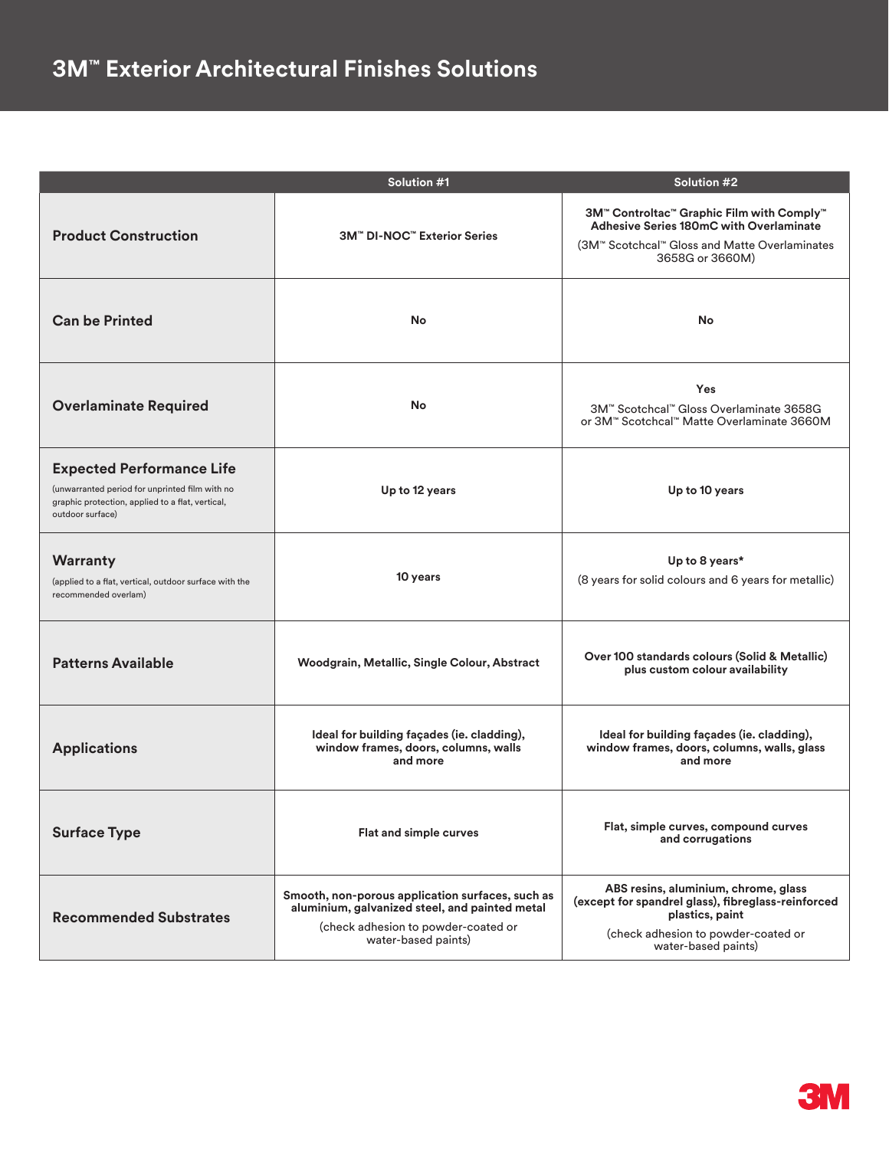# **3M™ Exterior Architectural Finishes Solutions**

|                                                                                                                                                            | Solution #1                                                                                                                                                      | Solution #2                                                                                                                                                                 |
|------------------------------------------------------------------------------------------------------------------------------------------------------------|------------------------------------------------------------------------------------------------------------------------------------------------------------------|-----------------------------------------------------------------------------------------------------------------------------------------------------------------------------|
| <b>Product Construction</b>                                                                                                                                | 3M™ DI-NOC™ Exterior Series                                                                                                                                      | 3M™ Controltac™ Graphic Film with Comply™<br><b>Adhesive Series 180mC with Overlaminate</b><br>(3M™ Scotchcal™ Gloss and Matte Overlaminates<br>3658G or 3660M)             |
| <b>Can be Printed</b>                                                                                                                                      | No                                                                                                                                                               | No                                                                                                                                                                          |
| <b>Overlaminate Required</b>                                                                                                                               | No                                                                                                                                                               | Yes<br>3M™ Scotchcal™ Gloss Overlaminate 3658G<br>or 3M™ Scotchcal™ Matte Overlaminate 3660M                                                                                |
| <b>Expected Performance Life</b><br>(unwarranted period for unprinted film with no<br>graphic protection, applied to a flat, vertical,<br>outdoor surface) | Up to 12 years                                                                                                                                                   | Up to 10 years                                                                                                                                                              |
| <b>Warranty</b><br>(applied to a flat, vertical, outdoor surface with the<br>recommended overlam)                                                          | 10 years                                                                                                                                                         | Up to 8 years*<br>(8 years for solid colours and 6 years for metallic)                                                                                                      |
| <b>Patterns Available</b>                                                                                                                                  | Woodgrain, Metallic, Single Colour, Abstract                                                                                                                     | Over 100 standards colours (Solid & Metallic)<br>plus custom colour availability                                                                                            |
| <b>Applications</b>                                                                                                                                        | Ideal for building façades (ie. cladding),<br>window frames, doors, columns, walls<br>and more                                                                   | Ideal for building facades (ie. cladding),<br>window frames, doors, columns, walls, glass<br>and more                                                                       |
| <b>Surface Type</b>                                                                                                                                        | Flat and simple curves                                                                                                                                           | Flat, simple curves, compound curves<br>and corrugations                                                                                                                    |
| <b>Recommended Substrates</b>                                                                                                                              | Smooth, non-porous application surfaces, such as<br>aluminium, galvanized steel, and painted metal<br>(check adhesion to powder-coated or<br>water-based paints) | ABS resins, aluminium, chrome, glass<br>(except for spandrel glass), fibreglass-reinforced<br>plastics, paint<br>(check adhesion to powder-coated or<br>water-based paints) |